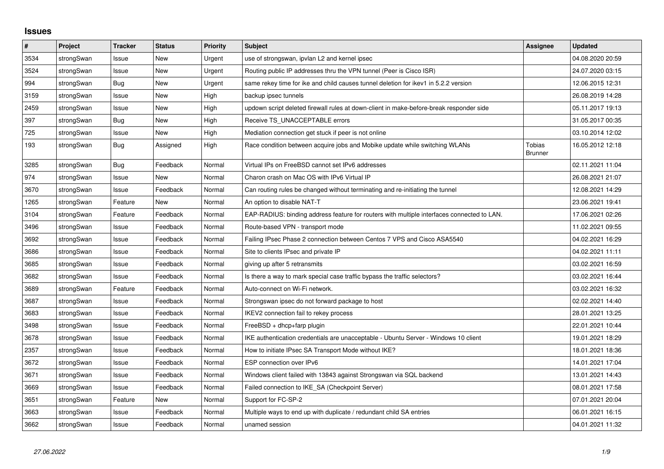## **Issues**

| $\sharp$ | Project    | <b>Tracker</b> | <b>Status</b> | <b>Priority</b> | <b>Subject</b>                                                                             | <b>Assignee</b>          | <b>Updated</b>   |
|----------|------------|----------------|---------------|-----------------|--------------------------------------------------------------------------------------------|--------------------------|------------------|
| 3534     | strongSwan | Issue          | <b>New</b>    | Urgent          | use of strongswan, ipvlan L2 and kernel ipsec                                              |                          | 04.08.2020 20:59 |
| 3524     | strongSwan | Issue          | <b>New</b>    | Urgent          | Routing public IP addresses thru the VPN tunnel (Peer is Cisco ISR)                        |                          | 24.07.2020 03:15 |
| 994      | strongSwan | Bug            | New           | Urgent          | same rekey time for ike and child causes tunnel deletion for ikev1 in 5.2.2 version        |                          | 12.06.2015 12:31 |
| 3159     | strongSwan | Issue          | <b>New</b>    | High            | backup ipsec tunnels                                                                       |                          | 26.08.2019 14:28 |
| 2459     | strongSwan | Issue          | New           | High            | updown script deleted firewall rules at down-client in make-before-break responder side    |                          | 05.11.2017 19:13 |
| 397      | strongSwan | Bug            | <b>New</b>    | High            | Receive TS UNACCEPTABLE errors                                                             |                          | 31.05.2017 00:35 |
| 725      | strongSwan | Issue          | <b>New</b>    | High            | Mediation connection get stuck if peer is not online                                       |                          | 03.10.2014 12:02 |
| 193      | strongSwan | Bug            | Assigned      | High            | Race condition between acquire jobs and Mobike update while switching WLANs                | Tobias<br><b>Brunner</b> | 16.05.2012 12:18 |
| 3285     | strongSwan | Bug            | Feedback      | Normal          | Virtual IPs on FreeBSD cannot set IPv6 addresses                                           |                          | 02.11.2021 11:04 |
| 974      | strongSwan | Issue          | <b>New</b>    | Normal          | Charon crash on Mac OS with IPv6 Virtual IP                                                |                          | 26.08.2021 21:07 |
| 3670     | strongSwan | Issue          | Feedback      | Normal          | Can routing rules be changed without terminating and re-initiating the tunnel              |                          | 12.08.2021 14:29 |
| 1265     | strongSwan | Feature        | <b>New</b>    | Normal          | An option to disable NAT-T                                                                 |                          | 23.06.2021 19:41 |
| 3104     | strongSwan | Feature        | Feedback      | Normal          | EAP-RADIUS: binding address feature for routers with multiple interfaces connected to LAN. |                          | 17.06.2021 02:26 |
| 3496     | strongSwan | Issue          | Feedback      | Normal          | Route-based VPN - transport mode                                                           |                          | 11.02.2021 09:55 |
| 3692     | strongSwan | Issue          | Feedback      | Normal          | Failing IPsec Phase 2 connection between Centos 7 VPS and Cisco ASA5540                    |                          | 04.02.2021 16:29 |
| 3686     | strongSwan | Issue          | Feedback      | Normal          | Site to clients IPsec and private IP                                                       |                          | 04.02.2021 11:11 |
| 3685     | strongSwan | Issue          | Feedback      | Normal          | giving up after 5 retransmits                                                              |                          | 03.02.2021 16:59 |
| 3682     | strongSwan | Issue          | Feedback      | Normal          | Is there a way to mark special case traffic bypass the traffic selectors?                  |                          | 03.02.2021 16:44 |
| 3689     | strongSwan | Feature        | Feedback      | Normal          | Auto-connect on Wi-Fi network.                                                             |                          | 03.02.2021 16:32 |
| 3687     | strongSwan | Issue          | Feedback      | Normal          | Strongswan ipsec do not forward package to host                                            |                          | 02.02.2021 14:40 |
| 3683     | strongSwan | Issue          | Feedback      | Normal          | IKEV2 connection fail to rekey process                                                     |                          | 28.01.2021 13:25 |
| 3498     | strongSwan | Issue          | Feedback      | Normal          | FreeBSD + dhcp+farp plugin                                                                 |                          | 22.01.2021 10:44 |
| 3678     | strongSwan | Issue          | Feedback      | Normal          | IKE authentication credentials are unacceptable - Ubuntu Server - Windows 10 client        |                          | 19.01.2021 18:29 |
| 2357     | strongSwan | Issue          | Feedback      | Normal          | How to initiate IPsec SA Transport Mode without IKE?                                       |                          | 18.01.2021 18:36 |
| 3672     | strongSwan | Issue          | Feedback      | Normal          | ESP connection over IPv6                                                                   |                          | 14.01.2021 17:04 |
| 3671     | strongSwan | Issue          | Feedback      | Normal          | Windows client failed with 13843 against Strongswan via SQL backend                        |                          | 13.01.2021 14:43 |
| 3669     | strongSwan | Issue          | Feedback      | Normal          | Failed connection to IKE_SA (Checkpoint Server)                                            |                          | 08.01.2021 17:58 |
| 3651     | strongSwan | Feature        | New           | Normal          | Support for FC-SP-2                                                                        |                          | 07.01.2021 20:04 |
| 3663     | strongSwan | Issue          | Feedback      | Normal          | Multiple ways to end up with duplicate / redundant child SA entries                        |                          | 06.01.2021 16:15 |
| 3662     | strongSwan | Issue          | Feedback      | Normal          | unamed session                                                                             |                          | 04.01.2021 11:32 |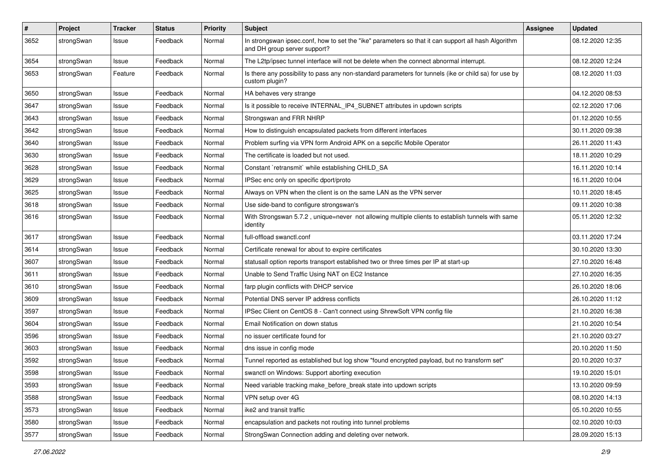| $\pmb{\#}$ | Project    | <b>Tracker</b> | <b>Status</b> | <b>Priority</b> | Subject                                                                                                                             | <b>Assignee</b> | <b>Updated</b>   |
|------------|------------|----------------|---------------|-----------------|-------------------------------------------------------------------------------------------------------------------------------------|-----------------|------------------|
| 3652       | strongSwan | Issue          | Feedback      | Normal          | In strongswan ipsec.conf, how to set the "ike" parameters so that it can support all hash Algorithm<br>and DH group server support? |                 | 08.12.2020 12:35 |
| 3654       | strongSwan | Issue          | Feedback      | Normal          | The L2tp/ipsec tunnel interface will not be delete when the connect abnormal interrupt.                                             |                 | 08.12.2020 12:24 |
| 3653       | strongSwan | Feature        | Feedback      | Normal          | Is there any possibility to pass any non-standard parameters for tunnels (ike or child sa) for use by<br>custom plugin?             |                 | 08.12.2020 11:03 |
| 3650       | strongSwan | Issue          | Feedback      | Normal          | HA behaves very strange                                                                                                             |                 | 04.12.2020 08:53 |
| 3647       | strongSwan | Issue          | Feedback      | Normal          | Is it possible to receive INTERNAL_IP4_SUBNET attributes in updown scripts                                                          |                 | 02.12.2020 17:06 |
| 3643       | strongSwan | lssue          | Feedback      | Normal          | Strongswan and FRR NHRP                                                                                                             |                 | 01.12.2020 10:55 |
| 3642       | strongSwan | Issue          | Feedback      | Normal          | How to distinguish encapsulated packets from different interfaces                                                                   |                 | 30.11.2020 09:38 |
| 3640       | strongSwan | lssue          | Feedback      | Normal          | Problem surfing via VPN form Android APK on a sepcific Mobile Operator                                                              |                 | 26.11.2020 11:43 |
| 3630       | strongSwan | Issue          | Feedback      | Normal          | The certificate is loaded but not used.                                                                                             |                 | 18.11.2020 10:29 |
| 3628       | strongSwan | Issue          | Feedback      | Normal          | Constant `retransmit` while establishing CHILD SA                                                                                   |                 | 16.11.2020 10:14 |
| 3629       | strongSwan | Issue          | Feedback      | Normal          | IPSec enc only on specific dport/proto                                                                                              |                 | 16.11.2020 10:04 |
| 3625       | strongSwan | lssue          | Feedback      | Normal          | Always on VPN when the client is on the same LAN as the VPN server                                                                  |                 | 10.11.2020 18:45 |
| 3618       | strongSwan | Issue          | Feedback      | Normal          | Use side-band to configure strongswan's                                                                                             |                 | 09.11.2020 10:38 |
| 3616       | strongSwan | Issue          | Feedback      | Normal          | With Strongswan 5.7.2, unique=never not allowing multiple clients to establish tunnels with same<br>identity                        |                 | 05.11.2020 12:32 |
| 3617       | strongSwan | lssue          | Feedback      | Normal          | full-offload swanctl.conf                                                                                                           |                 | 03.11.2020 17:24 |
| 3614       | strongSwan | Issue          | Feedback      | Normal          | Certificate renewal for about to expire certificates                                                                                |                 | 30.10.2020 13:30 |
| 3607       | strongSwan | Issue          | Feedback      | Normal          | statusall option reports transport established two or three times per IP at start-up                                                |                 | 27.10.2020 16:48 |
| 3611       | strongSwan | lssue          | Feedback      | Normal          | Unable to Send Traffic Using NAT on EC2 Instance                                                                                    |                 | 27.10.2020 16:35 |
| 3610       | strongSwan | Issue          | Feedback      | Normal          | farp plugin conflicts with DHCP service                                                                                             |                 | 26.10.2020 18:06 |
| 3609       | strongSwan | lssue          | Feedback      | Normal          | Potential DNS server IP address conflicts                                                                                           |                 | 26.10.2020 11:12 |
| 3597       | strongSwan | Issue          | Feedback      | Normal          | IPSec Client on CentOS 8 - Can't connect using ShrewSoft VPN config file                                                            |                 | 21.10.2020 16:38 |
| 3604       | strongSwan | Issue          | Feedback      | Normal          | Email Notification on down status                                                                                                   |                 | 21.10.2020 10:54 |
| 3596       | strongSwan | Issue          | Feedback      | Normal          | no issuer certificate found for                                                                                                     |                 | 21.10.2020 03:27 |
| 3603       | strongSwan | Issue          | Feedback      | Normal          | dns issue in config mode                                                                                                            |                 | 20.10.2020 11:50 |
| 3592       | strongSwan | Issue          | Feedback      | Normal          | Tunnel reported as established but log show "found encrypted payload, but no transform set"                                         |                 | 20.10.2020 10:37 |
| 3598       | strongSwan | Issue          | Feedback      | Normal          | swanctl on Windows: Support aborting execution                                                                                      |                 | 19.10.2020 15:01 |
| 3593       | strongSwan | Issue          | Feedback      | Normal          | Need variable tracking make_before_break state into updown scripts                                                                  |                 | 13.10.2020 09:59 |
| 3588       | strongSwan | Issue          | Feedback      | Normal          | VPN setup over 4G                                                                                                                   |                 | 08.10.2020 14:13 |
| 3573       | strongSwan | Issue          | Feedback      | Normal          | ike2 and transit traffic                                                                                                            |                 | 05.10.2020 10:55 |
| 3580       | strongSwan | Issue          | Feedback      | Normal          | encapsulation and packets not routing into tunnel problems                                                                          |                 | 02.10.2020 10:03 |
| 3577       | strongSwan | Issue          | Feedback      | Normal          | StrongSwan Connection adding and deleting over network.                                                                             |                 | 28.09.2020 15:13 |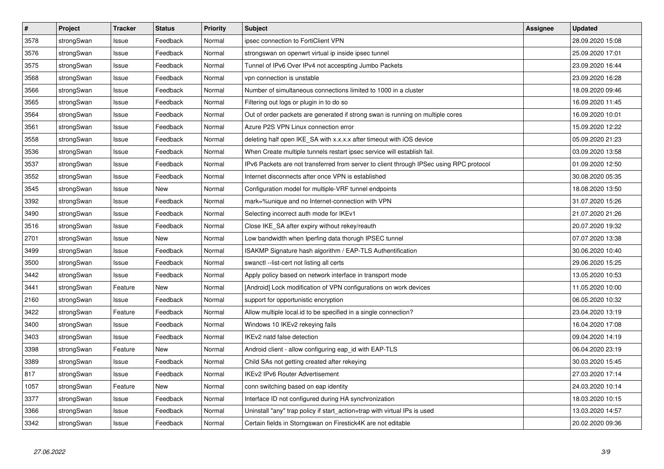| $\pmb{\#}$ | Project    | <b>Tracker</b> | <b>Status</b> | <b>Priority</b> | <b>Subject</b>                                                                          | <b>Assignee</b> | <b>Updated</b>   |
|------------|------------|----------------|---------------|-----------------|-----------------------------------------------------------------------------------------|-----------------|------------------|
| 3578       | strongSwan | lssue          | Feedback      | Normal          | ipsec connection to FortiClient VPN                                                     |                 | 28.09.2020 15:08 |
| 3576       | strongSwan | Issue          | Feedback      | Normal          | strongswan on openwrt virtual ip inside ipsec tunnel                                    |                 | 25.09.2020 17:01 |
| 3575       | strongSwan | Issue          | Feedback      | Normal          | Tunnel of IPv6 Over IPv4 not accespting Jumbo Packets                                   |                 | 23.09.2020 16:44 |
| 3568       | strongSwan | Issue          | Feedback      | Normal          | vpn connection is unstable                                                              |                 | 23.09.2020 16:28 |
| 3566       | strongSwan | Issue          | Feedback      | Normal          | Number of simultaneous connections limited to 1000 in a cluster                         |                 | 18.09.2020 09:46 |
| 3565       | strongSwan | Issue          | Feedback      | Normal          | Filtering out logs or plugin in to do so                                                |                 | 16.09.2020 11:45 |
| 3564       | strongSwan | lssue          | Feedback      | Normal          | Out of order packets are generated if strong swan is running on multiple cores          |                 | 16.09.2020 10:01 |
| 3561       | strongSwan | Issue          | Feedback      | Normal          | Azure P2S VPN Linux connection error                                                    |                 | 15.09.2020 12:22 |
| 3558       | strongSwan | lssue          | Feedback      | Normal          | deleting half open IKE SA with x.x.x.x after timeout with iOS device                    |                 | 05.09.2020 21:23 |
| 3536       | strongSwan | Issue          | Feedback      | Normal          | When Create multiple tunnels restart ipsec service will establish fail.                 |                 | 03.09.2020 13:58 |
| 3537       | strongSwan | Issue          | Feedback      | Normal          | IPv6 Packets are not transferred from server to client through IPSec using RPC protocol |                 | 01.09.2020 12:50 |
| 3552       | strongSwan | Issue          | Feedback      | Normal          | Internet disconnects after once VPN is established                                      |                 | 30.08.2020 05:35 |
| 3545       | strongSwan | Issue          | New           | Normal          | Configuration model for multiple-VRF tunnel endpoints                                   |                 | 18.08.2020 13:50 |
| 3392       | strongSwan | Issue          | Feedback      | Normal          | mark=%unique and no Internet-connection with VPN                                        |                 | 31.07.2020 15:26 |
| 3490       | strongSwan | lssue          | Feedback      | Normal          | Selecting incorrect auth mode for IKEv1                                                 |                 | 21.07.2020 21:26 |
| 3516       | strongSwan | Issue          | Feedback      | Normal          | Close IKE_SA after expiry without rekey/reauth                                          |                 | 20.07.2020 19:32 |
| 2701       | strongSwan | Issue          | New           | Normal          | Low bandwidth when Iperfing data thorugh IPSEC tunnel                                   |                 | 07.07.2020 13:38 |
| 3499       | strongSwan | Issue          | Feedback      | Normal          | ISAKMP Signature hash algorithm / EAP-TLS Authentification                              |                 | 30.06.2020 10:40 |
| 3500       | strongSwan | Issue          | Feedback      | Normal          | swanctl --list-cert not listing all certs                                               |                 | 29.06.2020 15:25 |
| 3442       | strongSwan | Issue          | Feedback      | Normal          | Apply policy based on network interface in transport mode                               |                 | 13.05.2020 10:53 |
| 3441       | strongSwan | Feature        | New           | Normal          | [Android] Lock modification of VPN configurations on work devices                       |                 | 11.05.2020 10:00 |
| 2160       | strongSwan | Issue          | Feedback      | Normal          | support for opportunistic encryption                                                    |                 | 06.05.2020 10:32 |
| 3422       | strongSwan | Feature        | Feedback      | Normal          | Allow multiple local.id to be specified in a single connection?                         |                 | 23.04.2020 13:19 |
| 3400       | strongSwan | Issue          | Feedback      | Normal          | Windows 10 IKEv2 rekeying fails                                                         |                 | 16.04.2020 17:08 |
| 3403       | strongSwan | Issue          | Feedback      | Normal          | IKEv2 natd false detection                                                              |                 | 09.04.2020 14:19 |
| 3398       | strongSwan | Feature        | New           | Normal          | Android client - allow configuring eap_id with EAP-TLS                                  |                 | 06.04.2020 23:19 |
| 3389       | strongSwan | Issue          | Feedback      | Normal          | Child SAs not getting created after rekeying                                            |                 | 30.03.2020 15:45 |
| 817        | strongSwan | Issue          | Feedback      | Normal          | <b>IKEv2 IPv6 Router Advertisement</b>                                                  |                 | 27.03.2020 17:14 |
| 1057       | strongSwan | Feature        | <b>New</b>    | Normal          | conn switching based on eap identity                                                    |                 | 24.03.2020 10:14 |
| 3377       | strongSwan | Issue          | Feedback      | Normal          | Interface ID not configured during HA synchronization                                   |                 | 18.03.2020 10:15 |
| 3366       | strongSwan | Issue          | Feedback      | Normal          | Uninstall "any" trap policy if start action=trap with virtual IPs is used               |                 | 13.03.2020 14:57 |
| 3342       | strongSwan | Issue          | Feedback      | Normal          | Certain fields in Storngswan on Firestick4K are not editable                            |                 | 20.02.2020 09:36 |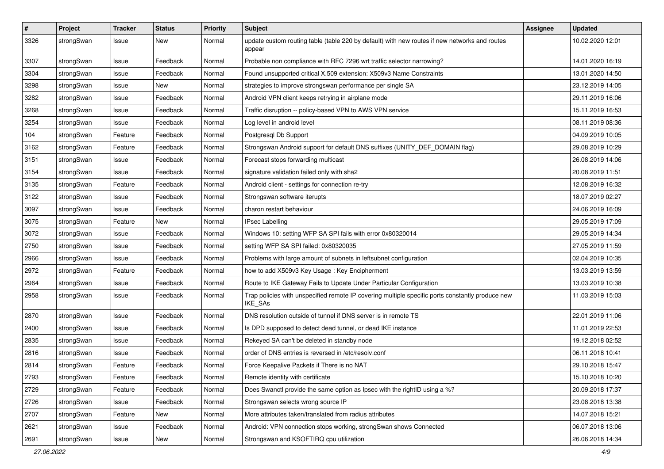| $\pmb{\#}$ | Project    | <b>Tracker</b> | <b>Status</b> | <b>Priority</b> | <b>Subject</b>                                                                                              | Assignee | <b>Updated</b>   |
|------------|------------|----------------|---------------|-----------------|-------------------------------------------------------------------------------------------------------------|----------|------------------|
| 3326       | strongSwan | Issue          | New           | Normal          | update custom routing table (table 220 by default) with new routes if new networks and routes<br>appear     |          | 10.02.2020 12:01 |
| 3307       | strongSwan | Issue          | Feedback      | Normal          | Probable non compliance with RFC 7296 wrt traffic selector narrowing?                                       |          | 14.01.2020 16:19 |
| 3304       | strongSwan | Issue          | Feedback      | Normal          | Found unsupported critical X.509 extension: X509v3 Name Constraints                                         |          | 13.01.2020 14:50 |
| 3298       | strongSwan | Issue          | New           | Normal          | strategies to improve strongswan performance per single SA                                                  |          | 23.12.2019 14:05 |
| 3282       | strongSwan | Issue          | Feedback      | Normal          | Android VPN client keeps retrying in airplane mode                                                          |          | 29.11.2019 16:06 |
| 3268       | strongSwan | Issue          | Feedback      | Normal          | Traffic disruption -- policy-based VPN to AWS VPN service                                                   |          | 15.11.2019 16:53 |
| 3254       | strongSwan | Issue          | Feedback      | Normal          | Log level in android level                                                                                  |          | 08.11.2019 08:36 |
| 104        | strongSwan | Feature        | Feedback      | Normal          | Postgresql Db Support                                                                                       |          | 04.09.2019 10:05 |
| 3162       | strongSwan | Feature        | Feedback      | Normal          | Strongswan Android support for default DNS suffixes (UNITY_DEF_DOMAIN flag)                                 |          | 29.08.2019 10:29 |
| 3151       | strongSwan | Issue          | Feedback      | Normal          | Forecast stops forwarding multicast                                                                         |          | 26.08.2019 14:06 |
| 3154       | strongSwan | Issue          | Feedback      | Normal          | signature validation failed only with sha2                                                                  |          | 20.08.2019 11:51 |
| 3135       | strongSwan | Feature        | Feedback      | Normal          | Android client - settings for connection re-try                                                             |          | 12.08.2019 16:32 |
| 3122       | strongSwan | Issue          | Feedback      | Normal          | Strongswan software iterupts                                                                                |          | 18.07.2019 02:27 |
| 3097       | strongSwan | Issue          | Feedback      | Normal          | charon restart behaviour                                                                                    |          | 24.06.2019 16:09 |
| 3075       | strongSwan | Feature        | New           | Normal          | <b>IPsec Labelling</b>                                                                                      |          | 29.05.2019 17:09 |
| 3072       | strongSwan | lssue          | Feedback      | Normal          | Windows 10: setting WFP SA SPI fails with error 0x80320014                                                  |          | 29.05.2019 14:34 |
| 2750       | strongSwan | Issue          | Feedback      | Normal          | setting WFP SA SPI failed: 0x80320035                                                                       |          | 27.05.2019 11:59 |
| 2966       | strongSwan | Issue          | Feedback      | Normal          | Problems with large amount of subnets in leftsubnet configuration                                           |          | 02.04.2019 10:35 |
| 2972       | strongSwan | Feature        | Feedback      | Normal          | how to add X509v3 Key Usage: Key Encipherment                                                               |          | 13.03.2019 13:59 |
| 2964       | strongSwan | Issue          | Feedback      | Normal          | Route to IKE Gateway Fails to Update Under Particular Configuration                                         |          | 13.03.2019 10:38 |
| 2958       | strongSwan | Issue          | Feedback      | Normal          | Trap policies with unspecified remote IP covering multiple specific ports constantly produce new<br>IKE_SAs |          | 11.03.2019 15:03 |
| 2870       | strongSwan | Issue          | Feedback      | Normal          | DNS resolution outside of tunnel if DNS server is in remote TS                                              |          | 22.01.2019 11:06 |
| 2400       | strongSwan | Issue          | Feedback      | Normal          | Is DPD supposed to detect dead tunnel, or dead IKE instance                                                 |          | 11.01.2019 22:53 |
| 2835       | strongSwan | Issue          | Feedback      | Normal          | Rekeyed SA can't be deleted in standby node                                                                 |          | 19.12.2018 02:52 |
| 2816       | strongSwan | lssue          | Feedback      | Normal          | order of DNS entries is reversed in /etc/resolv.conf                                                        |          | 06.11.2018 10:41 |
| 2814       | strongSwan | Feature        | Feedback      | Normal          | Force Keepalive Packets if There is no NAT                                                                  |          | 29.10.2018 15:47 |
| 2793       | strongSwan | Feature        | Feedback      | Normal          | Remote identity with certificate                                                                            |          | 15.10.2018 10:20 |
| 2729       | strongSwan | Feature        | Feedback      | Normal          | Does Swanctl provide the same option as Ipsec with the rightID using a %?                                   |          | 20.09.2018 17:37 |
| 2726       | strongSwan | Issue          | Feedback      | Normal          | Strongswan selects wrong source IP                                                                          |          | 23.08.2018 13:38 |
| 2707       | strongSwan | Feature        | New           | Normal          | More attributes taken/translated from radius attributes                                                     |          | 14.07.2018 15:21 |
| 2621       | strongSwan | Issue          | Feedback      | Normal          | Android: VPN connection stops working, strongSwan shows Connected                                           |          | 06.07.2018 13:06 |
| 2691       | strongSwan | Issue          | New           | Normal          | Strongswan and KSOFTIRQ cpu utilization                                                                     |          | 26.06.2018 14:34 |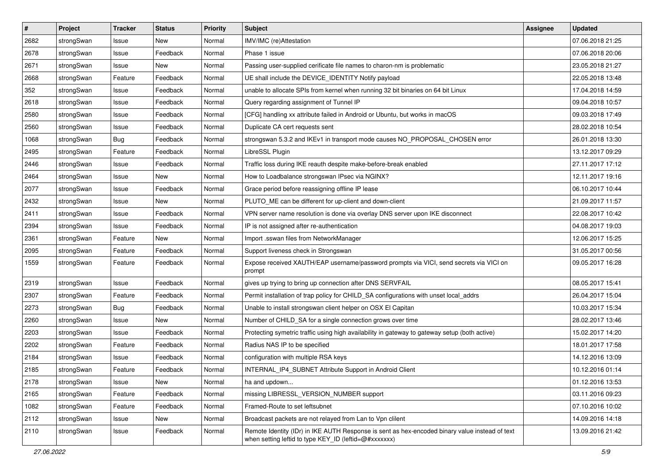| $\vert$ # | Project    | <b>Tracker</b> | <b>Status</b> | <b>Priority</b> | <b>Subject</b>                                                                                                                                          | <b>Assignee</b> | <b>Updated</b>   |
|-----------|------------|----------------|---------------|-----------------|---------------------------------------------------------------------------------------------------------------------------------------------------------|-----------------|------------------|
| 2682      | strongSwan | Issue          | New           | Normal          | IMV/IMC (re)Attestation                                                                                                                                 |                 | 07.06.2018 21:25 |
| 2678      | strongSwan | Issue          | Feedback      | Normal          | Phase 1 issue                                                                                                                                           |                 | 07.06.2018 20:06 |
| 2671      | strongSwan | Issue          | New           | Normal          | Passing user-supplied cerificate file names to charon-nm is problematic                                                                                 |                 | 23.05.2018 21:27 |
| 2668      | strongSwan | Feature        | Feedback      | Normal          | UE shall include the DEVICE_IDENTITY Notify payload                                                                                                     |                 | 22.05.2018 13:48 |
| 352       | strongSwan | Issue          | Feedback      | Normal          | unable to allocate SPIs from kernel when running 32 bit binaries on 64 bit Linux                                                                        |                 | 17.04.2018 14:59 |
| 2618      | strongSwan | Issue          | Feedback      | Normal          | Query regarding assignment of Tunnel IP                                                                                                                 |                 | 09.04.2018 10:57 |
| 2580      | strongSwan | Issue          | Feedback      | Normal          | [CFG] handling xx attribute failed in Android or Ubuntu, but works in macOS                                                                             |                 | 09.03.2018 17:49 |
| 2560      | strongSwan | Issue          | Feedback      | Normal          | Duplicate CA cert requests sent                                                                                                                         |                 | 28.02.2018 10:54 |
| 1068      | strongSwan | <b>Bug</b>     | Feedback      | Normal          | strongswan 5.3.2 and IKEv1 in transport mode causes NO_PROPOSAL_CHOSEN error                                                                            |                 | 26.01.2018 13:30 |
| 2495      | strongSwan | Feature        | Feedback      | Normal          | LibreSSL Plugin                                                                                                                                         |                 | 13.12.2017 09:29 |
| 2446      | strongSwan | Issue          | Feedback      | Normal          | Traffic loss during IKE reauth despite make-before-break enabled                                                                                        |                 | 27.11.2017 17:12 |
| 2464      | strongSwan | Issue          | <b>New</b>    | Normal          | How to Loadbalance strongswan IPsec via NGINX?                                                                                                          |                 | 12.11.2017 19:16 |
| 2077      | strongSwan | Issue          | Feedback      | Normal          | Grace period before reassigning offline IP lease                                                                                                        |                 | 06.10.2017 10:44 |
| 2432      | strongSwan | Issue          | New           | Normal          | PLUTO_ME can be different for up-client and down-client                                                                                                 |                 | 21.09.2017 11:57 |
| 2411      | strongSwan | Issue          | Feedback      | Normal          | VPN server name resolution is done via overlay DNS server upon IKE disconnect                                                                           |                 | 22.08.2017 10:42 |
| 2394      | strongSwan | Issue          | Feedback      | Normal          | IP is not assigned after re-authentication                                                                                                              |                 | 04.08.2017 19:03 |
| 2361      | strongSwan | Feature        | New           | Normal          | Import .sswan files from NetworkManager                                                                                                                 |                 | 12.06.2017 15:25 |
| 2095      | strongSwan | Feature        | Feedback      | Normal          | Support liveness check in Strongswan                                                                                                                    |                 | 31.05.2017 00:56 |
| 1559      | strongSwan | Feature        | Feedback      | Normal          | Expose received XAUTH/EAP username/password prompts via VICI, send secrets via VICI on<br>prompt                                                        |                 | 09.05.2017 16:28 |
| 2319      | strongSwan | Issue          | Feedback      | Normal          | gives up trying to bring up connection after DNS SERVFAIL                                                                                               |                 | 08.05.2017 15:41 |
| 2307      | strongSwan | Feature        | Feedback      | Normal          | Permit installation of trap policy for CHILD_SA configurations with unset local_addrs                                                                   |                 | 26.04.2017 15:04 |
| 2273      | strongSwan | Bug            | Feedback      | Normal          | Unable to install strongswan client helper on OSX El Capitan                                                                                            |                 | 10.03.2017 15:34 |
| 2260      | strongSwan | Issue          | New           | Normal          | Number of CHILD_SA for a single connection grows over time                                                                                              |                 | 28.02.2017 13:46 |
| 2203      | strongSwan | Issue          | Feedback      | Normal          | Protecting symetric traffic using high availability in gateway to gateway setup (both active)                                                           |                 | 15.02.2017 14:20 |
| 2202      | strongSwan | Feature        | Feedback      | Normal          | Radius NAS IP to be specified                                                                                                                           |                 | 18.01.2017 17:58 |
| 2184      | strongSwan | Issue          | Feedback      | Normal          | configuration with multiple RSA keys                                                                                                                    |                 | 14.12.2016 13:09 |
| 2185      | strongSwan | Feature        | Feedback      | Normal          | INTERNAL_IP4_SUBNET Attribute Support in Android Client                                                                                                 |                 | 10.12.2016 01:14 |
| 2178      | strongSwan | Issue          | New           | Normal          | ha and updown                                                                                                                                           |                 | 01.12.2016 13:53 |
| 2165      | strongSwan | Feature        | Feedback      | Normal          | missing LIBRESSL_VERSION_NUMBER support                                                                                                                 |                 | 03.11.2016 09:23 |
| 1082      | strongSwan | Feature        | Feedback      | Normal          | Framed-Route to set leftsubnet                                                                                                                          |                 | 07.10.2016 10:02 |
| 2112      | strongSwan | Issue          | New           | Normal          | Broadcast packets are not relayed from Lan to Vpn clilent                                                                                               |                 | 14.09.2016 14:18 |
| 2110      | strongSwan | Issue          | Feedback      | Normal          | Remote Identity (IDr) in IKE AUTH Response is sent as hex-encoded binary value instead of text<br>when setting leftid to type KEY_ID (leftid=@#xxxxxxx) |                 | 13.09.2016 21:42 |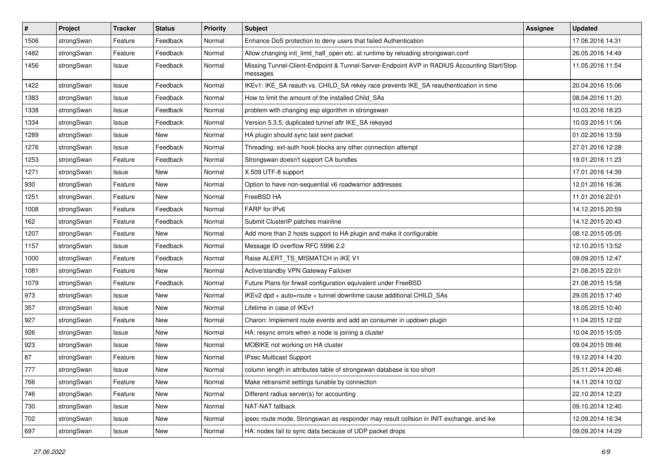| $\sharp$ | Project    | <b>Tracker</b> | <b>Status</b> | <b>Priority</b> | <b>Subject</b>                                                                                          | <b>Assignee</b> | <b>Updated</b>   |
|----------|------------|----------------|---------------|-----------------|---------------------------------------------------------------------------------------------------------|-----------------|------------------|
| 1506     | strongSwan | Feature        | Feedback      | Normal          | Enhance DoS protection to deny users that failed Authentication                                         |                 | 17.06.2016 14:31 |
| 1482     | strongSwan | Feature        | Feedback      | Normal          | Allow changing init_limit_half_open etc. at runtime by reloading strongswan.conf                        |                 | 26.05.2016 14:49 |
| 1456     | strongSwan | Issue          | Feedback      | Normal          | Missing Tunnel-Client-Endpoint & Tunnel-Server-Endpoint AVP in RADIUS Accounting Start/Stop<br>messages |                 | 11.05.2016 11:54 |
| 1422     | strongSwan | Issue          | Feedback      | Normal          | IKEv1: IKE_SA reauth vs. CHILD_SA rekey race prevents IKE_SA reauthentication in time                   |                 | 20.04.2016 15:06 |
| 1383     | strongSwan | Issue          | Feedback      | Normal          | How to limit the amount of the installed Child SAs                                                      |                 | 08.04.2016 11:20 |
| 1338     | strongSwan | Issue          | Feedback      | Normal          | problem with changing esp algorithm in strongswan                                                       |                 | 10.03.2016 18:23 |
| 1334     | strongSwan | Issue          | Feedback      | Normal          | Version 5.3.5, duplicated tunnel aftr IKE_SA rekeyed                                                    |                 | 10.03.2016 11:06 |
| 1289     | strongSwan | Issue          | New           | Normal          | HA plugin should sync last sent packet                                                                  |                 | 01.02.2016 13:59 |
| 1276     | strongSwan | Issue          | Feedback      | Normal          | Threading: ext-auth hook blocks any other connection attempt                                            |                 | 27.01.2016 12:28 |
| 1253     | strongSwan | Feature        | Feedback      | Normal          | Strongswan doesn't support CA bundles                                                                   |                 | 19.01.2016 11:23 |
| 1271     | strongSwan | Issue          | New           | Normal          | X.509 UTF-8 support                                                                                     |                 | 17.01.2016 14:39 |
| 930      | strongSwan | Feature        | New           | Normal          | Option to have non-sequential v6 roadwarrior addresses                                                  |                 | 12.01.2016 16:36 |
| 1251     | strongSwan | Feature        | <b>New</b>    | Normal          | FreeBSD HA                                                                                              |                 | 11.01.2016 22:01 |
| 1008     | strongSwan | Feature        | Feedback      | Normal          | FARP for IPv6                                                                                           |                 | 14.12.2015 20:59 |
| 162      | strongSwan | Feature        | Feedback      | Normal          | Submit ClusterIP patches mainline                                                                       |                 | 14.12.2015 20:43 |
| 1207     | strongSwan | Feature        | New           | Normal          | Add more than 2 hosts support to HA plugin and make it configurable                                     |                 | 08.12.2015 05:05 |
| 1157     | strongSwan | Issue          | Feedback      | Normal          | Message ID overflow RFC 5996 2.2                                                                        |                 | 12.10.2015 13:52 |
| 1000     | strongSwan | Feature        | Feedback      | Normal          | Raise ALERT_TS_MISMATCH in IKE V1                                                                       |                 | 09.09.2015 12:47 |
| 1081     | strongSwan | Feature        | New           | Normal          | Active/standby VPN Gateway Failover                                                                     |                 | 21.08.2015 22:01 |
| 1079     | strongSwan | Feature        | Feedback      | Normal          | Future Plans for firwall configuration equivalent under FreeBSD                                         |                 | 21.08.2015 15:58 |
| 973      | strongSwan | Issue          | New           | Normal          | IKEv2 dpd + auto=route + tunnel downtime cause additional CHILD_SAs                                     |                 | 29.05.2015 17:40 |
| 357      | strongSwan | Issue          | <b>New</b>    | Normal          | Lifetime in case of IKEv1                                                                               |                 | 18.05.2015 10:40 |
| 927      | strongSwan | Feature        | New           | Normal          | Charon: Implement route events and add an consumer in updown plugin                                     |                 | 11.04.2015 12:02 |
| 926      | strongSwan | Issue          | New           | Normal          | HA: resync errors when a node is joining a cluster                                                      |                 | 10.04.2015 15:05 |
| 923      | strongSwan | Issue          | New           | Normal          | MOBIKE not working on HA cluster                                                                        |                 | 09.04.2015 09:46 |
| 87       | strongSwan | Feature        | New           | Normal          | IPsec Multicast Support                                                                                 |                 | 19.12.2014 14:20 |
| 777      | strongSwan | Issue          | New           | Normal          | column length in attributes table of strongswan database is too short                                   |                 | 25.11.2014 20:46 |
| 766      | strongSwan | Feature        | New           | Normal          | Make retransmit settings tunable by connection                                                          |                 | 14.11.2014 10:02 |
| 746      | strongSwan | Feature        | New           | Normal          | Different radius server(s) for accounting                                                               |                 | 22.10.2014 12:23 |
| 730      | strongSwan | Issue          | New           | Normal          | NAT-NAT fallback                                                                                        |                 | 09.10.2014 12:40 |
| 702      | strongSwan | Issue          | New           | Normal          | ipsec route mode, Strongswan as responder may result collsion in INIT exchange. and ike                 |                 | 12.09.2014 16:34 |
| 697      | strongSwan | Issue          | New           | Normal          | HA: nodes fail to sync data because of UDP packet drops                                                 |                 | 09.09.2014 14:29 |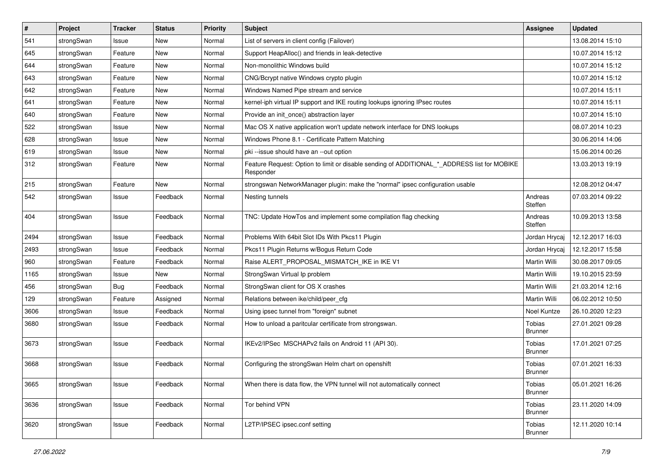| $\vert$ # | Project    | <b>Tracker</b> | <b>Status</b> | Priority | Subject                                                                                                  | <b>Assignee</b>          | <b>Updated</b>   |
|-----------|------------|----------------|---------------|----------|----------------------------------------------------------------------------------------------------------|--------------------------|------------------|
| 541       | strongSwan | Issue          | New           | Normal   | List of servers in client config (Failover)                                                              |                          | 13.08.2014 15:10 |
| 645       | strongSwan | Feature        | New           | Normal   | Support HeapAlloc() and friends in leak-detective                                                        |                          | 10.07.2014 15:12 |
| 644       | strongSwan | Feature        | New           | Normal   | Non-monolithic Windows build                                                                             |                          | 10.07.2014 15:12 |
| 643       | strongSwan | Feature        | New           | Normal   | CNG/Bcrypt native Windows crypto plugin                                                                  |                          | 10.07.2014 15:12 |
| 642       | strongSwan | Feature        | New           | Normal   | Windows Named Pipe stream and service                                                                    |                          | 10.07.2014 15:11 |
| 641       | strongSwan | Feature        | New           | Normal   | kernel-iph virtual IP support and IKE routing lookups ignoring IPsec routes                              |                          | 10.07.2014 15:11 |
| 640       | strongSwan | Feature        | New           | Normal   | Provide an init_once() abstraction layer                                                                 |                          | 10.07.2014 15:10 |
| 522       | strongSwan | Issue          | <b>New</b>    | Normal   | Mac OS X native application won't update network interface for DNS lookups                               |                          | 08.07.2014 10:23 |
| 628       | strongSwan | Issue          | New           | Normal   | Windows Phone 8.1 - Certificate Pattern Matching                                                         |                          | 30.06.2014 14:06 |
| 619       | strongSwan | Issue          | New           | Normal   | pki --issue should have an --out option                                                                  |                          | 15.06.2014 00:26 |
| 312       | strongSwan | Feature        | New           | Normal   | Feature Request: Option to limit or disable sending of ADDITIONAL_*_ADDRESS list for MOBIKE<br>Responder |                          | 13.03.2013 19:19 |
| 215       | strongSwan | Feature        | <b>New</b>    | Normal   | strongswan NetworkManager plugin: make the "normal" ipsec configuration usable                           |                          | 12.08.2012 04:47 |
| 542       | strongSwan | Issue          | Feedback      | Normal   | Nesting tunnels                                                                                          | Andreas<br>Steffen       | 07.03.2014 09:22 |
| 404       | strongSwan | Issue          | Feedback      | Normal   | TNC: Update HowTos and implement some compilation flag checking                                          | Andreas<br>Steffen       | 10.09.2013 13:58 |
| 2494      | strongSwan | Issue          | Feedback      | Normal   | Problems With 64bit Slot IDs With Pkcs11 Plugin                                                          | Jordan Hrycaj            | 12.12.2017 16:03 |
| 2493      | strongSwan | Issue          | Feedback      | Normal   | Pkcs11 Plugin Returns w/Bogus Return Code                                                                | Jordan Hrycaj            | 12.12.2017 15:58 |
| 960       | strongSwan | Feature        | Feedback      | Normal   | Raise ALERT_PROPOSAL_MISMATCH_IKE in IKE V1                                                              | Martin Willi             | 30.08.2017 09:05 |
| 1165      | strongSwan | Issue          | New           | Normal   | StrongSwan Virtual Ip problem                                                                            | Martin Willi             | 19.10.2015 23:59 |
| 456       | strongSwan | Bug            | Feedback      | Normal   | StrongSwan client for OS X crashes                                                                       | Martin Willi             | 21.03.2014 12:16 |
| 129       | strongSwan | Feature        | Assigned      | Normal   | Relations between ike/child/peer_cfg                                                                     | Martin Willi             | 06.02.2012 10:50 |
| 3606      | strongSwan | Issue          | Feedback      | Normal   | Using ipsec tunnel from "foreign" subnet                                                                 | Noel Kuntze              | 26.10.2020 12:23 |
| 3680      | strongSwan | Issue          | Feedback      | Normal   | How to unload a paritcular certificate from strongswan.                                                  | Tobias<br><b>Brunner</b> | 27.01.2021 09:28 |
| 3673      | strongSwan | Issue          | Feedback      | Normal   | IKEv2/IPSec MSCHAPv2 fails on Android 11 (API 30).                                                       | Tobias<br><b>Brunner</b> | 17.01.2021 07:25 |
| 3668      | strongSwan | Issue          | Feedback      | Normal   | Configuring the strongSwan Helm chart on openshift                                                       | Tobias<br><b>Brunner</b> | 07.01.2021 16:33 |
| 3665      | strongSwan | Issue          | Feedback      | Normal   | When there is data flow, the VPN tunnel will not automatically connect                                   | Tobias<br><b>Brunner</b> | 05.01.2021 16:26 |
| 3636      | strongSwan | Issue          | Feedback      | Normal   | Tor behind VPN                                                                                           | Tobias<br><b>Brunner</b> | 23.11.2020 14:09 |
| 3620      | strongSwan | Issue          | Feedback      | Normal   | L2TP/IPSEC ipsec.conf setting                                                                            | Tobias<br><b>Brunner</b> | 12.11.2020 10:14 |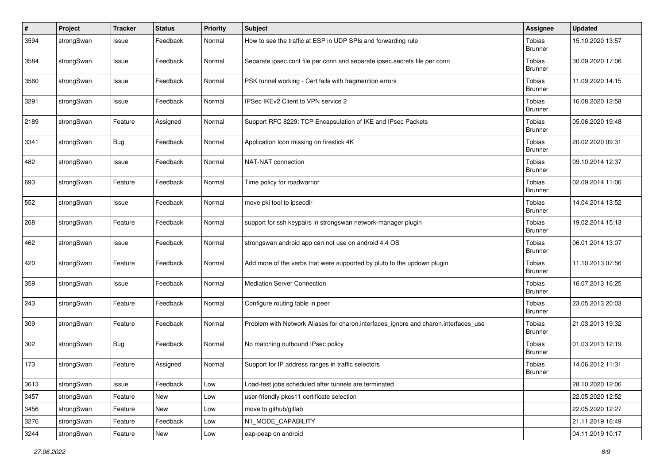| $\sharp$ | Project    | <b>Tracker</b> | <b>Status</b> | <b>Priority</b> | <b>Subject</b>                                                                      | <b>Assignee</b>          | <b>Updated</b>   |
|----------|------------|----------------|---------------|-----------------|-------------------------------------------------------------------------------------|--------------------------|------------------|
| 3594     | strongSwan | Issue          | Feedback      | Normal          | How to see the traffic at ESP in UDP SPIs and forwarding rule                       | Tobias<br><b>Brunner</b> | 15.10.2020 13:57 |
| 3584     | strongSwan | Issue          | Feedback      | Normal          | Separate ipsec.conf file per conn and separate ipsec.secrets file per conn          | Tobias<br><b>Brunner</b> | 30.09.2020 17:06 |
| 3560     | strongSwan | Issue          | Feedback      | Normal          | PSK tunnel working - Cert fails with fragmention errors                             | Tobias<br><b>Brunner</b> | 11.09.2020 14:15 |
| 3291     | strongSwan | Issue          | Feedback      | Normal          | IPSec IKEv2 Client to VPN service 2                                                 | Tobias<br><b>Brunner</b> | 16.08.2020 12:58 |
| 2189     | strongSwan | Feature        | Assigned      | Normal          | Support RFC 8229: TCP Encapsulation of IKE and IPsec Packets                        | Tobias<br><b>Brunner</b> | 05.06.2020 19:48 |
| 3341     | strongSwan | <b>Bug</b>     | Feedback      | Normal          | Application Icon missing on firestick 4K                                            | Tobias<br><b>Brunner</b> | 20.02.2020 09:31 |
| 482      | strongSwan | Issue          | Feedback      | Normal          | NAT-NAT connection                                                                  | Tobias<br>Brunner        | 09.10.2014 12:37 |
| 693      | strongSwan | Feature        | Feedback      | Normal          | Time policy for roadwarrior                                                         | Tobias<br><b>Brunner</b> | 02.09.2014 11:06 |
| 552      | strongSwan | Issue          | Feedback      | Normal          | move pki tool to ipsecdir                                                           | Tobias<br><b>Brunner</b> | 14.04.2014 13:52 |
| 268      | strongSwan | Feature        | Feedback      | Normal          | support for ssh keypairs in strongswan network-manager plugin                       | Tobias<br><b>Brunner</b> | 19.02.2014 15:13 |
| 462      | strongSwan | Issue          | Feedback      | Normal          | strongswan android app can not use on android 4.4 OS                                | Tobias<br><b>Brunner</b> | 06.01.2014 13:07 |
| 420      | strongSwan | Feature        | Feedback      | Normal          | Add more of the verbs that were supported by pluto to the updown plugin             | Tobias<br><b>Brunner</b> | 11.10.2013 07:56 |
| 359      | strongSwan | Issue          | Feedback      | Normal          | <b>Mediation Server Connection</b>                                                  | Tobias<br><b>Brunner</b> | 16.07.2013 16:25 |
| 243      | strongSwan | Feature        | Feedback      | Normal          | Configure routing table in peer                                                     | Tobias<br><b>Brunner</b> | 23.05.2013 20:03 |
| 309      | strongSwan | Feature        | Feedback      | Normal          | Problem with Network Aliases for charon.interfaces_ignore and charon.interfaces_use | Tobias<br><b>Brunner</b> | 21.03.2013 19:32 |
| 302      | strongSwan | <b>Bug</b>     | Feedback      | Normal          | No matching outbound IPsec policy                                                   | Tobias<br><b>Brunner</b> | 01.03.2013 12:19 |
| 173      | strongSwan | Feature        | Assigned      | Normal          | Support for IP address ranges in traffic selectors                                  | Tobias<br><b>Brunner</b> | 14.06.2012 11:31 |
| 3613     | strongSwan | Issue          | Feedback      | Low             | Load-test jobs scheduled after tunnels are terminated                               |                          | 28.10.2020 12:06 |
| 3457     | strongSwan | Feature        | New           | Low             | user-friendly pkcs11 certificate selection                                          |                          | 22.05.2020 12:52 |
| 3456     | strongSwan | Feature        | New           | Low             | move to github/gitlab                                                               |                          | 22.05.2020 12:27 |
| 3276     | strongSwan | Feature        | Feedback      | Low             | N1 MODE CAPABILITY                                                                  |                          | 21.11.2019 16:49 |
| 3244     | strongSwan | Feature        | New           | Low             | eap-peap on android                                                                 |                          | 04.11.2019 10:17 |